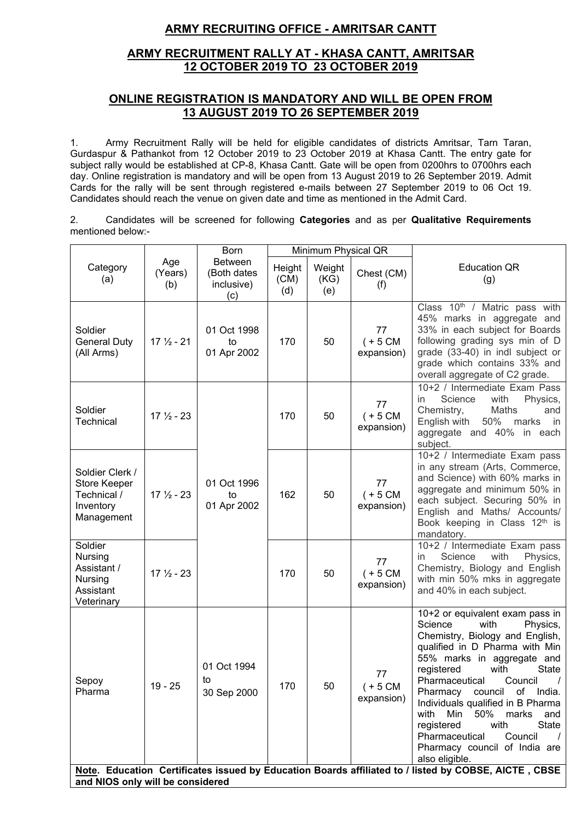# **ARMY RECRUITING OFFICE - AMRITSAR CANTT**

# **ARMY RECRUITMENT RALLY AT - KHASA CANTT, AMRITSAR 12 OCTOBER 2019 TO 23 OCTOBER 2019**

# **ONLINE REGISTRATION IS MANDATORY AND WILL BE OPEN FROM 13 AUGUST 2019 TO 26 SEPTEMBER 2019**

1. Army Recruitment Rally will be held for eligible candidates of districts Amritsar, Tarn Taran, Gurdaspur & Pathankot from 12 October 2019 to 23 October 2019 at Khasa Cantt. The entry gate for subject rally would be established at CP-8, Khasa Cantt. Gate will be open from 0200hrs to 0700hrs each day. Online registration is mandatory and will be open from 13 August 2019 to 26 September 2019. Admit Cards for the rally will be sent through registered e-mails between 27 September 2019 to 06 Oct 19. Candidates should reach the venue on given date and time as mentioned in the Admit Card.

2. Candidates will be screened for following **Categories** and as per **Qualitative Requirements** mentioned below:-

|                                                                           |                       | <b>Born</b>                                        |                       | Minimum Physical QR   |                                |                                                                                                                                                                                                                                                                                                                                                                                                                                                                          |
|---------------------------------------------------------------------------|-----------------------|----------------------------------------------------|-----------------------|-----------------------|--------------------------------|--------------------------------------------------------------------------------------------------------------------------------------------------------------------------------------------------------------------------------------------------------------------------------------------------------------------------------------------------------------------------------------------------------------------------------------------------------------------------|
| Category<br>(a)                                                           | Age<br>(Years)<br>(b) | <b>Between</b><br>(Both dates<br>inclusive)<br>(c) | Height<br>(CM)<br>(d) | Weight<br>(KG)<br>(e) | Chest (CM)<br>(f)              | <b>Education QR</b><br>(g)                                                                                                                                                                                                                                                                                                                                                                                                                                               |
| Soldier<br><b>General Duty</b><br>(All Arms)                              | $17\frac{1}{2} - 21$  | 01 Oct 1998<br>to<br>01 Apr 2002                   | 170                   | 50                    | 77<br>$(+ 5 CM)$<br>expansion) | Class 10 <sup>th</sup> / Matric pass with<br>45% marks in aggregate and<br>33% in each subject for Boards<br>following grading sys min of D<br>grade (33-40) in indl subject or<br>grade which contains 33% and<br>overall aggregate of C2 grade.                                                                                                                                                                                                                        |
| Soldier<br><b>Technical</b>                                               | $17\frac{1}{2}$ - 23  |                                                    | 170                   | 50                    | 77<br>$(+ 5 CM)$<br>expansion) | 10+2 / Intermediate Exam Pass<br>in<br>Science<br>with<br>Physics,<br>Chemistry,<br>Maths<br>and<br>English with<br>50%<br>marks in<br>aggregate and 40% in each<br>subject.                                                                                                                                                                                                                                                                                             |
| Soldier Clerk /<br>Store Keeper<br>Technical /<br>Inventory<br>Management | $17\frac{1}{2} - 23$  | 01 Oct 1996<br>to<br>01 Apr 2002                   | 162                   | 50                    | 77<br>$(+ 5 CM)$<br>expansion) | $10+2$ / Intermediate Exam pass<br>in any stream (Arts, Commerce,<br>and Science) with 60% marks in<br>aggregate and minimum 50% in<br>each subject. Securing 50% in<br>English and Maths/ Accounts/<br>Book keeping in Class 12th is<br>mandatory.                                                                                                                                                                                                                      |
| Soldier<br>Nursing<br>Assistant /<br>Nursing<br>Assistant<br>Veterinary   | $17\frac{1}{2} - 23$  |                                                    | 170                   | 50                    | 77<br>$(+ 5 CM)$<br>expansion) | 10+2 / Intermediate Exam pass<br>Science<br>with<br>Physics,<br>in.<br>Chemistry, Biology and English<br>with min 50% mks in aggregate<br>and 40% in each subject.                                                                                                                                                                                                                                                                                                       |
| Sepoy<br>Pharma                                                           | $19 - 25$             | 01 Oct 1994<br>to<br>30 Sep 2000                   | 170                   | 50                    | 77<br>$(+ 5 CM)$<br>expansion) | 10+2 or equivalent exam pass in<br>Science<br>Physics,<br>with<br>Chemistry, Biology and English,<br>qualified in D Pharma with Min<br>55% marks in aggregate and<br>with<br>registered<br>State<br>Pharmaceutical Council<br>$\overline{1}$<br>Pharmacy council of India.<br>Individuals qualified in B Pharma<br>Min<br>50% marks<br>with<br>and<br>registered<br>with<br><b>State</b><br>Pharmaceutical<br>Council<br>Pharmacy council of India are<br>also eligible. |
| and NIOS only will be considered                                          |                       |                                                    |                       |                       |                                | Note. Education Certificates issued by Education Boards affiliated to / listed by COBSE, AICTE, CBSE                                                                                                                                                                                                                                                                                                                                                                     |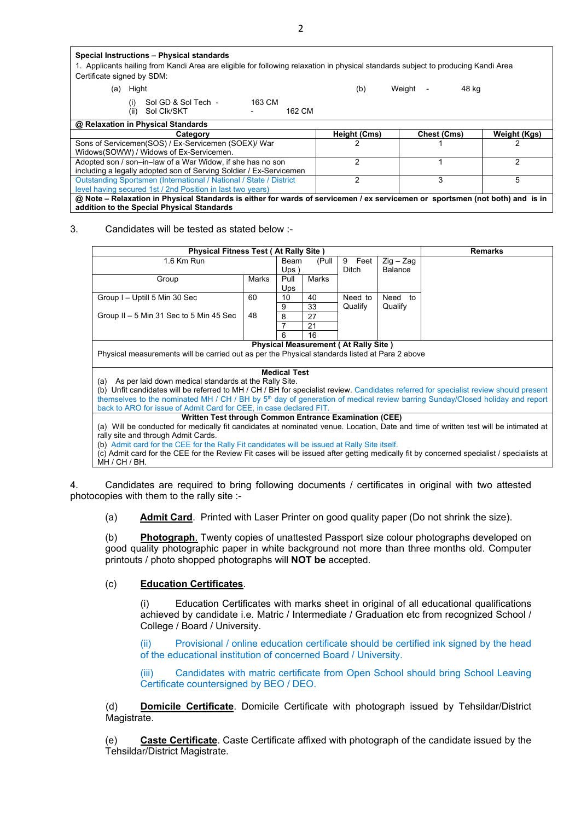| Special Instructions - Physical standards<br>1. Applicants hailing from Kandi Area are eligible for following relaxation in physical standards subject to producing Kandi Area<br>Certificate signed by SDM: |              |                                             |              |  |  |  |  |
|--------------------------------------------------------------------------------------------------------------------------------------------------------------------------------------------------------------|--------------|---------------------------------------------|--------------|--|--|--|--|
| Hight<br>(a)                                                                                                                                                                                                 | (b)          | Weight<br>48 kg<br>$\overline{\phantom{a}}$ |              |  |  |  |  |
| 163 CM<br>Sol GD & Sol Tech -<br>(i)<br>Sol Clk/SKT<br>162 CM<br>(ii)                                                                                                                                        |              |                                             |              |  |  |  |  |
| @ Relaxation in Physical Standards                                                                                                                                                                           |              |                                             |              |  |  |  |  |
| Category                                                                                                                                                                                                     | Height (Cms) | Chest (Cms)                                 | Weight (Kgs) |  |  |  |  |
| Sons of Servicemen(SOS) / Ex-Servicemen (SOEX)/ War                                                                                                                                                          |              |                                             |              |  |  |  |  |
| Widows(SOWW) / Widows of Ex-Servicemen.                                                                                                                                                                      |              |                                             |              |  |  |  |  |
| Adopted son / son-in-law of a War Widow, if she has no son                                                                                                                                                   | 2            |                                             |              |  |  |  |  |
| including a legally adopted son of Serving Soldier / Ex-Servicemen                                                                                                                                           |              |                                             |              |  |  |  |  |
| Outstanding Sportsmen (International / National / State / District                                                                                                                                           | 2            | 3                                           | 5            |  |  |  |  |
| level having secured 1st / 2nd Position in last two years)                                                                                                                                                   |              |                                             |              |  |  |  |  |
| @ Note – Relaxation in Physical Standards is either for wards of servicemen / ex servicemen or sportsmen (not both) and is in                                                                                |              |                                             |              |  |  |  |  |
| addition to the Special Physical Standards                                                                                                                                                                   |              |                                             |              |  |  |  |  |

3. Candidates will be tested as stated below :-

|                                                                                                                                                             | <b>Physical Fitness Test (At Rally Site)</b> |                     |       |              |                | <b>Remarks</b> |
|-------------------------------------------------------------------------------------------------------------------------------------------------------------|----------------------------------------------|---------------------|-------|--------------|----------------|----------------|
| 1.6 Km Run                                                                                                                                                  |                                              | Beam                | (Pull | 9 Feet       | $Zig - Zag$    |                |
|                                                                                                                                                             |                                              | $Ups$ )             |       | <b>Ditch</b> | <b>Balance</b> |                |
| Group                                                                                                                                                       | Marks                                        | Pull                | Marks |              |                |                |
|                                                                                                                                                             |                                              | Ups                 |       |              |                |                |
| Group I - Uptill 5 Min 30 Sec                                                                                                                               | 60                                           | 10                  | 40    | Need to      | Need<br>to     |                |
|                                                                                                                                                             |                                              | 9                   | 33    | Qualify      | Qualify        |                |
| Group $II - 5$ Min 31 Sec to 5 Min 45 Sec                                                                                                                   | 48                                           | 8                   | 27    |              |                |                |
|                                                                                                                                                             |                                              |                     | 21    |              |                |                |
|                                                                                                                                                             |                                              | 6                   | 16    |              |                |                |
| <b>Physical Measurement (At Rally Site)</b><br>Physical measurements will be carried out as per the Physical standards listed at Para 2 above               |                                              |                     |       |              |                |                |
|                                                                                                                                                             |                                              | <b>Medical Test</b> |       |              |                |                |
| (a) As per laid down medical standards at the Rally Site.                                                                                                   |                                              |                     |       |              |                |                |
| (b) Unfit candidates will be referred to MH / CH / BH for specialist review. Candidates referred for specialist review should present                       |                                              |                     |       |              |                |                |
| themselves to the nominated MH / CH / BH by 5 <sup>th</sup> day of generation of medical review barring Sunday/Closed holiday and report                    |                                              |                     |       |              |                |                |
| back to ARO for issue of Admit Card for CEE, in case declared FIT.                                                                                          |                                              |                     |       |              |                |                |
| Written Test through Common Entrance Examination (CEE)                                                                                                      |                                              |                     |       |              |                |                |
| (a) Will be conducted for medically fit candidates at nominated venue. Location, Date and time of written test will be intimated at                         |                                              |                     |       |              |                |                |
| rally site and through Admit Cards.                                                                                                                         |                                              |                     |       |              |                |                |
| (b) Admit card for the CEE for the Rally Fit candidates will be issued at Rally Site itself.                                                                |                                              |                     |       |              |                |                |
| (c) Admit card for the CEE for the Review Fit cases will be issued after getting medically fit by concerned specialist / specialists at<br>$MH / CH / BH$ . |                                              |                     |       |              |                |                |

4. Candidates are required to bring following documents / certificates in original with two attested photocopies with them to the rally site :-

(a) **Admit Card**. Printed with Laser Printer on good quality paper (Do not shrink the size).

(b) **Photograph**. Twenty copies of unattested Passport size colour photographs developed on good quality photographic paper in white background not more than three months old. Computer printouts / photo shopped photographs will **NOT be** accepted.

## (c) **Education Certificates**.

(i) Education Certificates with marks sheet in original of all educational qualifications achieved by candidate i.e. Matric / Intermediate / Graduation etc from recognized School / College / Board / University.

(ii) Provisional / online education certificate should be certified ink signed by the head of the educational institution of concerned Board / University.

(iii) Candidates with matric certificate from Open School should bring School Leaving Certificate countersigned by BEO / DEO.

(d) **Domicile Certificate**. Domicile Certificate with photograph issued by Tehsildar/District Magistrate.

(e) **Caste Certificate**. Caste Certificate affixed with photograph of the candidate issued by the Tehsildar/District Magistrate.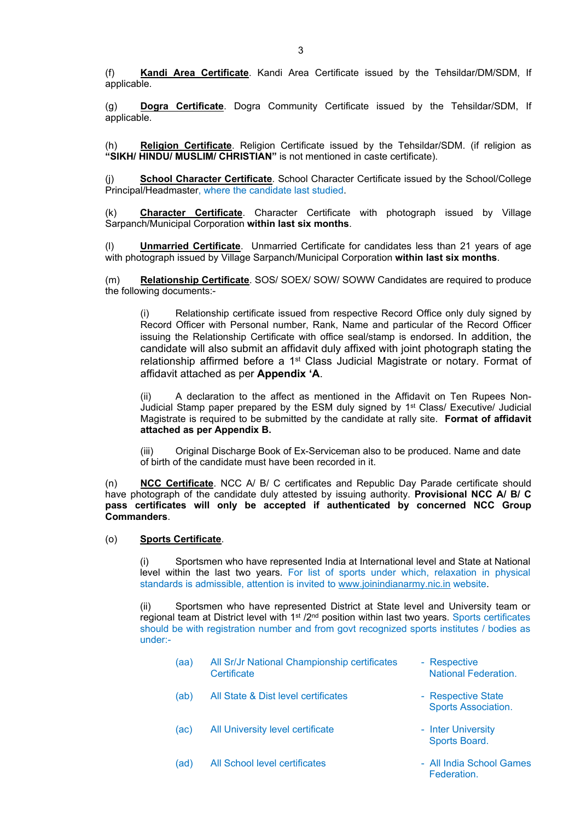(f) **Kandi Area Certificate**. Kandi Area Certificate issued by the Tehsildar/DM/SDM, If applicable.

(g) **Dogra Certificate**. Dogra Community Certificate issued by the Tehsildar/SDM, If applicable.

(h) **Religion Certificate**. Religion Certificate issued by the Tehsildar/SDM. (if religion as **"SIKH/ HINDU/ MUSLIM/ CHRISTIAN"** is not mentioned in caste certificate).

(j) **School Character Certificate**. School Character Certificate issued by the School/College Principal/Headmaster, where the candidate last studied.

(k) **Character Certificate**. Character Certificate with photograph issued by Village Sarpanch/Municipal Corporation **within last six months**.

(l) **Unmarried Certificate**. Unmarried Certificate for candidates less than 21 years of age with photograph issued by Village Sarpanch/Municipal Corporation **within last six months**.

(m) **Relationship Certificate**. SOS/ SOEX/ SOW/ SOWW Candidates are required to produce the following documents:-

(i) Relationship certificate issued from respective Record Office only duly signed by Record Officer with Personal number, Rank, Name and particular of the Record Officer issuing the Relationship Certificate with office seal/stamp is endorsed. In addition, the candidate will also submit an affidavit duly affixed with joint photograph stating the relationship affirmed before a 1<sup>st</sup> Class Judicial Magistrate or notary. Format of affidavit attached as per **Appendix 'A**.

(ii) A declaration to the affect as mentioned in the Affidavit on Ten Rupees Non-Judicial Stamp paper prepared by the ESM duly signed by 1<sup>st</sup> Class/ Executive/ Judicial Magistrate is required to be submitted by the candidate at rally site. **Format of affidavit attached as per Appendix B.**

(iii) Original Discharge Book of Ex-Serviceman also to be produced. Name and date of birth of the candidate must have been recorded in it.

(n) **NCC Certificate**. NCC A/ B/ C certificates and Republic Day Parade certificate should have photograph of the candidate duly attested by issuing authority. **Provisional NCC A/ B/ C pass certificates will only be accepted if authenticated by concerned NCC Group Commanders**.

### (o) **Sports Certificate**.

Sportsmen who have represented India at International level and State at National level within the last two years. For list of sports under which, relaxation in physical standards is admissible, attention is invited to [www.joinindianarmy.nic.in](http://www.joinindianarmy.nic.in/) website.

Sportsmen who have represented District at State level and University team or regional team at District level with 1<sup>st</sup> /2<sup>nd</sup> position within last two years. Sports certificates should be with registration number and from govt recognized sports institutes / bodies as under:-

| (aa) | All Sr/Jr National Championship certificates<br>Certificate | - Respective<br><b>National Federation.</b>      |
|------|-------------------------------------------------------------|--------------------------------------------------|
| (ab) | All State & Dist level certificates                         | - Respective State<br><b>Sports Association.</b> |
| (ac) | All University level certificate                            | - Inter University<br>Sports Board.              |
| (ad) | All School level certificates                               | - All India School Games<br><b>Federation</b>    |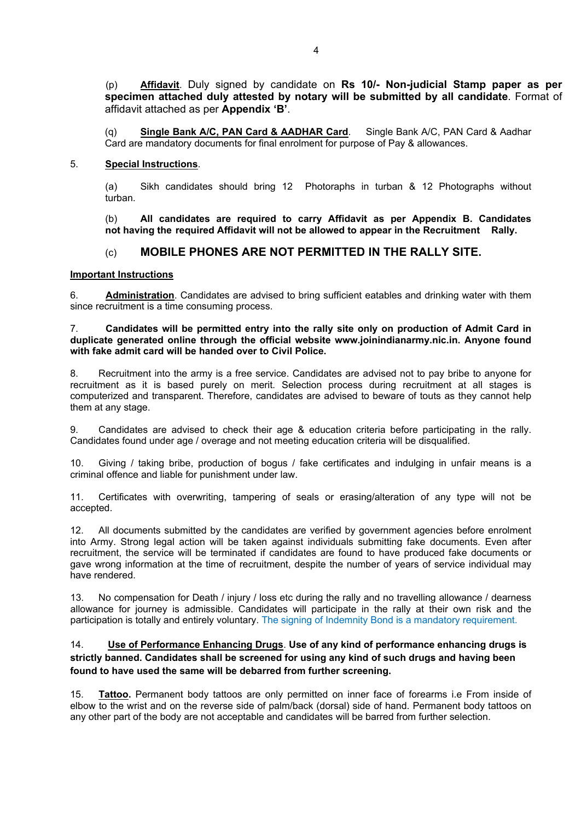(p) **Affidavit**. Duly signed by candidate on **Rs 10/- Non-judicial Stamp paper as per specimen attached duly attested by notary will be submitted by all candidate**. Format of affidavit attached as per **Appendix 'B'**.

(q) **Single Bank A/C, PAN Card & AADHAR Card**. Single Bank A/C, PAN Card & Aadhar Card are mandatory documents for final enrolment for purpose of Pay & allowances.

#### 5. **Special Instructions**.

(a) Sikh candidates should bring 12 Photoraphs in turban & 12 Photographs without turban.

(b) **All candidates are required to carry Affidavit as per Appendix B. Candidates not having the required Affidavit will not be allowed to appear in the Recruitment Rally.**

## (c) **MOBILE PHONES ARE NOT PERMITTED IN THE RALLY SITE.**

#### **Important Instructions**

6. **Administration**. Candidates are advised to bring sufficient eatables and drinking water with them since recruitment is a time consuming process.

#### 7. **Candidates will be permitted entry into the rally site only on production of Admit Card in duplicate generated online through the official website www.joinindianarmy.nic.in. Anyone found with fake admit card will be handed over to Civil Police.**

8. Recruitment into the army is a free service. Candidates are advised not to pay bribe to anyone for recruitment as it is based purely on merit. Selection process during recruitment at all stages is computerized and transparent. Therefore, candidates are advised to beware of touts as they cannot help them at any stage.

9. Candidates are advised to check their age & education criteria before participating in the rally. Candidates found under age / overage and not meeting education criteria will be disqualified.

10. Giving / taking bribe, production of bogus / fake certificates and indulging in unfair means is a criminal offence and liable for punishment under law.

11. Certificates with overwriting, tampering of seals or erasing/alteration of any type will not be accepted.

12. All documents submitted by the candidates are verified by government agencies before enrolment into Army. Strong legal action will be taken against individuals submitting fake documents. Even after recruitment, the service will be terminated if candidates are found to have produced fake documents or gave wrong information at the time of recruitment, despite the number of years of service individual may have rendered.

13. No compensation for Death / injury / loss etc during the rally and no travelling allowance / dearness allowance for journey is admissible. Candidates will participate in the rally at their own risk and the participation is totally and entirely voluntary. The signing of Indemnity Bond is a mandatory requirement.

## 14. **Use of Performance Enhancing Drugs**. **Use of any kind of performance enhancing drugs is strictly banned. Candidates shall be screened for using any kind of such drugs and having been found to have used the same will be debarred from further screening.**

15. **Tattoo.** Permanent body tattoos are only permitted on inner face of forearms i.e From inside of elbow to the wrist and on the reverse side of palm/back (dorsal) side of hand. Permanent body tattoos on any other part of the body are not acceptable and candidates will be barred from further selection.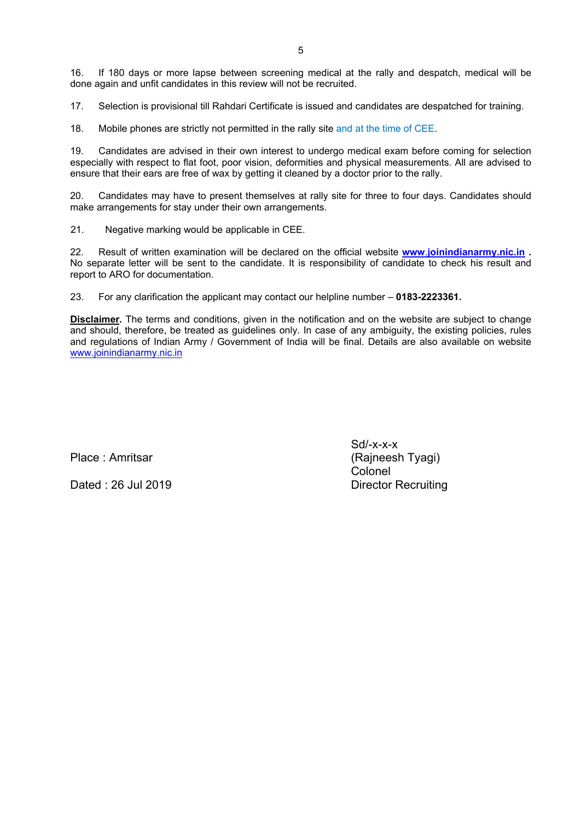16. If 180 days or more lapse between screening medical at the rally and despatch, medical will be done again and unfit candidates in this review will not be recruited.

17. Selection is provisional till Rahdari Certificate is issued and candidates are despatched for training.

18. Mobile phones are strictly not permitted in the rally site and at the time of CEE.

19. Candidates are advised in their own interest to undergo medical exam before coming for selection especially with respect to flat foot, poor vision, deformities and physical measurements. All are advised to ensure that their ears are free of wax by getting it cleaned by a doctor prior to the rally.

20. Candidates may have to present themselves at rally site for three to four days. Candidates should make arrangements for stay under their own arrangements.

21. Negative marking would be applicable in CEE.

22. Result of written examination will be declared on the official website **[www](http://www.joinindianarmy.nic.in/)**[.](http://www.joinindianarmy.nic.in/)**[joinindianarmy.nic.in](http://www.joinindianarmy.nic.in/) .** No separate letter will be sent to the candidate. It is responsibility of candidate to check his result and report to ARO for documentation.

23. For any clarification the applicant may contact our helpline number – **0183-2223361.**

**Disclaimer.** The terms and conditions, given in the notification and on the website are subject to change and should, therefore, be treated as guidelines only. In case of any ambiguity, the existing policies, rules and regulations of Indian Army / Government of India will be final. Details are also available on website [www.joinindianarmy.nic.in](http://www.joinindianarmy.nic.in/)

Dated : 26 Jul 2019 Director Recruiting

Sd/-x-x-x Place : Amritsar (Rajneesh Tyagi) Colonel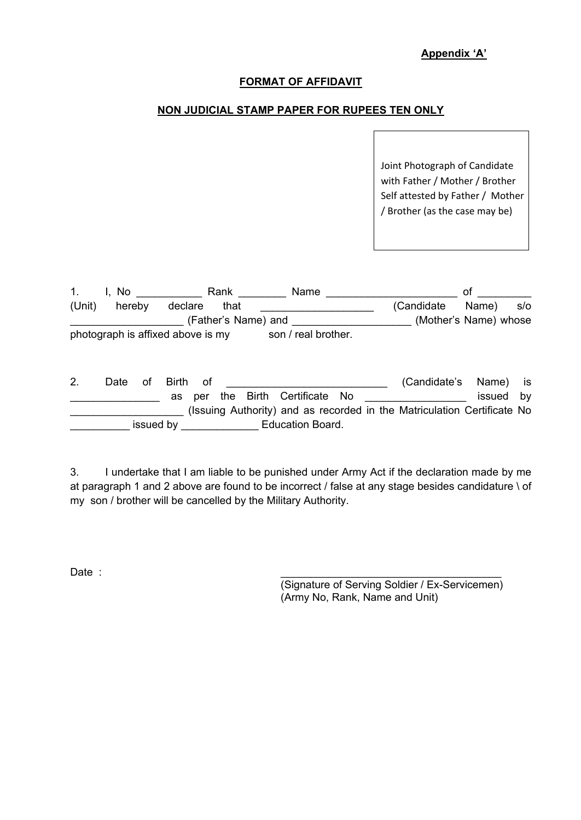# **Appendix 'A'**

## **FORMAT OF AFFIDAVIT**

# **NON JUDICIAL STAMP PAPER FOR RUPEES TEN ONLY**

Joint Photograph of Candidate with Father / Mother / Brother Self attested by Father / Mother / Brother (as the case may be)

| $\mathbf{1}$ . | I. No  | Rank                              | <b>Name</b>         |             | Οt                    |     |
|----------------|--------|-----------------------------------|---------------------|-------------|-----------------------|-----|
| (Unit)         | hereby | declare<br>that                   |                     | (Candidate) | Name)                 | s/o |
|                |        | (Father's Name) and               |                     |             | (Mother's Name) whose |     |
|                |        | photograph is affixed above is my | son / real brother. |             |                       |     |

2. Date of Birth of **Example 2.** Candidate's Name) is er the Birth Certificate No **EVILLE 19** issued by (Issuing Authority) and as recorded in the Matriculation Certificate No \_\_\_\_\_\_\_\_\_\_ issued by \_\_\_\_\_\_\_\_\_\_\_\_\_ Education Board.

3. I undertake that I am liable to be punished under Army Act if the declaration made by me at paragraph 1 and 2 above are found to be incorrect / false at any stage besides candidature \ of my son / brother will be cancelled by the Military Authority.

Date : \_\_\_\_\_\_\_\_\_\_\_\_\_\_\_\_\_\_\_\_\_\_\_\_\_\_\_\_\_\_\_\_\_\_\_\_\_

(Signature of Serving Soldier / Ex-Servicemen) (Army No, Rank, Name and Unit)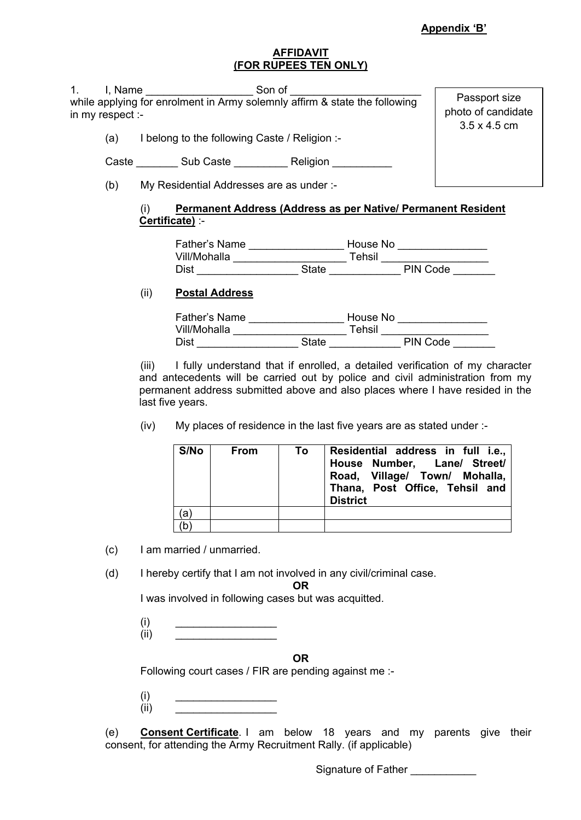## **AFFIDAVIT (FOR RUPEES TEN ONLY)**

| 1 <sub>1</sub> | in my respect :- | Son of<br>I, Name<br>while applying for enrolment in Army solemnly affirm & state the following | Passport size<br>photo of candidate |
|----------------|------------------|-------------------------------------------------------------------------------------------------|-------------------------------------|
|                | (a)              | I belong to the following Caste / Religion :-                                                   | $3.5 \times 4.5$ cm                 |
|                | Caste            | Sub Caste <b>Religion</b>                                                                       |                                     |
|                | (b)              | My Residential Addresses are as under :-                                                        |                                     |
|                |                  | Permanent Address (Address as per Native/ Permanent Resident<br>(i)<br>Certificate) :-          |                                     |
|                |                  | Eather's Name<br>House No                                                                       |                                     |

| Father's Name |       | House No |          |  |
|---------------|-------|----------|----------|--|
| Vill/Mohalla  |       | Tehsil   |          |  |
| Dist          | State |          | PIN Code |  |

# (ii) **Postal Address**

| Father's Name |              | House No |
|---------------|--------------|----------|
| Vill/Mohalla  |              | Tehsil   |
| Dist          | <b>State</b> | PIN Code |

(iii) I fully understand that if enrolled, a detailed verification of my character and antecedents will be carried out by police and civil administration from my permanent address submitted above and also places where I have resided in the last five years.

(iv) My places of residence in the last five years are as stated under :-

| S/No | <b>From</b> | To. | Residential address in full i.e.,<br>House Number, Lane/ Street/<br>Road, Village/ Town/ Mohalla,<br>Thana, Post Office, Tehsil and<br><b>District</b> |
|------|-------------|-----|--------------------------------------------------------------------------------------------------------------------------------------------------------|
| (a`  |             |     |                                                                                                                                                        |
| (b   |             |     |                                                                                                                                                        |

(c) I am married / unmarried.

(d) I hereby certify that I am not involved in any civil/criminal case.

**OR**

I was involved in following cases but was acquitted.

 $(i)$   $\qquad \qquad$  $(ii)$   $\qquad \qquad$ 

**OR**

Following court cases / FIR are pending against me :-

| (i)  |  |
|------|--|
| (ii) |  |

(e) **Consent Certificate**. I am below 18 years and my parents give their consent, for attending the Army Recruitment Rally. (if applicable)

Signature of Father \_\_\_\_\_\_\_\_\_\_\_